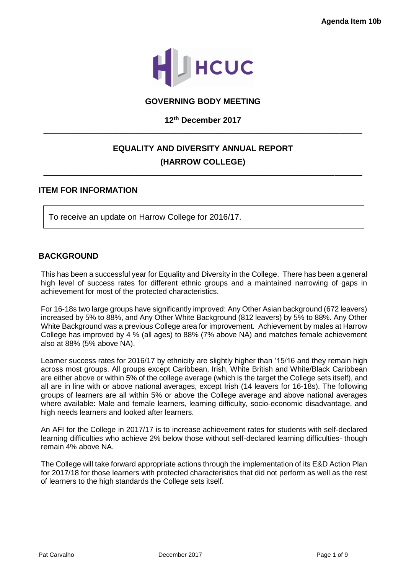

### **GOVERNING BODY MEETING**

# **12th December 2017** \_\_\_\_\_\_\_\_\_\_\_\_\_\_\_\_\_\_\_\_\_\_\_\_\_\_\_\_\_\_\_\_\_\_\_\_\_\_\_\_\_\_\_\_\_\_\_\_\_\_\_\_\_\_\_\_\_\_\_\_\_\_\_\_\_\_\_\_\_\_

# **EQUALITY AND DIVERSITY ANNUAL REPORT (HARROW COLLEGE)**

\_\_\_\_\_\_\_\_\_\_\_\_\_\_\_\_\_\_\_\_\_\_\_\_\_\_\_\_\_\_\_\_\_\_\_\_\_\_\_\_\_\_\_\_\_\_\_\_\_\_\_\_\_\_\_\_\_\_\_\_\_\_\_\_\_\_\_\_\_\_

### **ITEM FOR INFORMATION**

To receive an update on Harrow College for 2016/17.

### **BACKGROUND**

This has been a successful year for Equality and Diversity in the College. There has been a general high level of success rates for different ethnic groups and a maintained narrowing of gaps in achievement for most of the protected characteristics.

For 16-18s two large groups have significantly improved: Any Other Asian background (672 leavers) increased by 5% to 88%, and Any Other White Background (812 leavers) by 5% to 88%. Any Other White Background was a previous College area for improvement. Achievement by males at Harrow College has improved by 4 % (all ages) to 88% (7% above NA) and matches female achievement also at 88% (5% above NA).

Learner success rates for 2016/17 by ethnicity are slightly higher than '15/16 and they remain high across most groups. All groups except Caribbean, Irish, White British and White/Black Caribbean are either above or within 5% of the college average (which is the target the College sets itself), and all are in line with or above national averages, except Irish (14 leavers for 16-18s). The following groups of learners are all within 5% or above the College average and above national averages where available: Male and female learners, learning difficulty, socio-economic disadvantage, and high needs learners and looked after learners.

An AFI for the College in 2017/17 is to increase achievement rates for students with self-declared learning difficulties who achieve 2% below those without self-declared learning difficulties- though remain 4% above NA.

The College will take forward appropriate actions through the implementation of its E&D Action Plan for 2017/18 for those learners with protected characteristics that did not perform as well as the rest of learners to the high standards the College sets itself.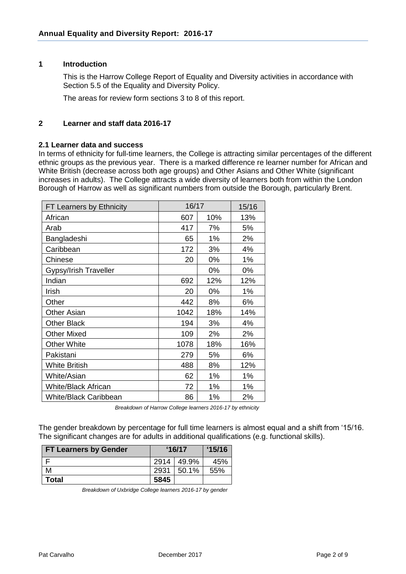# **1 Introduction**

This is the Harrow College Report of Equality and Diversity activities in accordance with Section 5.5 of the Equality and Diversity Policy.

The areas for review form sections 3 to 8 of this report.

### **2 Learner and staff data 2016-17**

#### **2.1 Learner data and success**

In terms of ethnicity for full-time learners, the College is attracting similar percentages of the different ethnic groups as the previous year. There is a marked difference re learner number for African and White British (decrease across both age groups) and Other Asians and Other White (significant increases in adults). The College attracts a wide diversity of learners both from within the London Borough of Harrow as well as significant numbers from outside the Borough, particularly Brent.

| FT Learners by Ethnicity     | 16/17 |     | 15/16 |
|------------------------------|-------|-----|-------|
| African                      | 607   | 10% | 13%   |
| Arab                         | 417   | 7%  | 5%    |
| Bangladeshi                  | 65    | 1%  | 2%    |
| Caribbean                    | 172   | 3%  | 4%    |
| Chinese                      | 20    | 0%  | 1%    |
| <b>Gypsy/Irish Traveller</b> |       | 0%  | 0%    |
| Indian                       | 692   | 12% | 12%   |
| Irish                        | 20    | 0%  | 1%    |
| Other                        | 442   | 8%  | 6%    |
| <b>Other Asian</b>           | 1042  | 18% | 14%   |
| <b>Other Black</b>           | 194   | 3%  | 4%    |
| <b>Other Mixed</b>           | 109   | 2%  | 2%    |
| <b>Other White</b>           | 1078  | 18% | 16%   |
| Pakistani                    | 279   | 5%  | 6%    |
| <b>White British</b>         | 488   | 8%  | 12%   |
| White/Asian                  | 62    | 1%  | 1%    |
| <b>White/Black African</b>   | 72    | 1%  | 1%    |
| <b>White/Black Caribbean</b> | 86    | 1%  | 2%    |

 *Breakdown of Harrow College learners 2016-17 by ethnicity*

The gender breakdown by percentage for full time learners is almost equal and a shift from '15/16. The significant changes are for adults in additional qualifications (e.g. functional skills).

| <b>FT Learners by Gender</b> | 16/17 |            | 15/16 |
|------------------------------|-------|------------|-------|
|                              |       | 2914 49.9% | 45%   |
| М                            | 2931  | 50.1%      | 55%   |
| Total                        | 5845  |            |       |

*Breakdown of Uxbridge College learners 2016-17 by gender*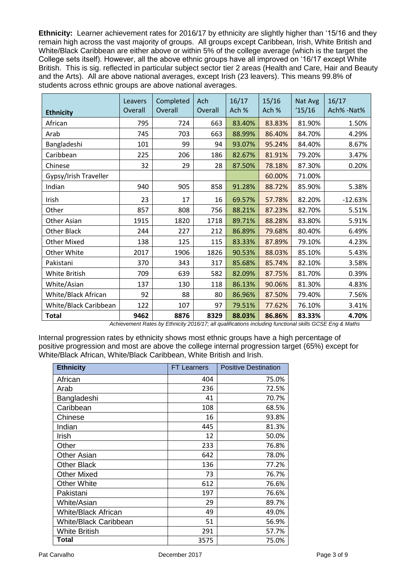**Ethnicity:** Learner achievement rates for 2016/17 by ethnicity are slightly higher than '15/16 and they remain high across the vast majority of groups. All groups except Caribbean, Irish, White British and White/Black Caribbean are either above or within 5% of the college average (which is the target the College sets itself). However, all the above ethnic groups have all improved on '16/17 except White British. This is sig. reflected in particular subject sector tier 2 areas (Health and Care, Hair and Beauty and the Arts). All are above national averages, except Irish (23 leavers). This means 99.8% of students across ethnic groups are above national averages.

| <b>Ethnicity</b>      | Leavers<br>Overall | Completed<br>Overall | Ach<br>Overall | 16/17<br>Ach % | 15/16<br>Ach % | Nat Avg<br>15/16 | 16/17<br>Ach% -Nat% |
|-----------------------|--------------------|----------------------|----------------|----------------|----------------|------------------|---------------------|
| African               | 795                | 724                  | 663            | 83.40%         | 83.83%         | 81.90%           | 1.50%               |
| Arab                  | 745                | 703                  | 663            | 88.99%         | 86.40%         | 84.70%           | 4.29%               |
| Bangladeshi           | 101                | 99                   | 94             | 93.07%         | 95.24%         | 84.40%           | 8.67%               |
| Caribbean             | 225                | 206                  | 186            | 82.67%         | 81.91%         | 79.20%           | 3.47%               |
| Chinese               | 32                 | 29                   | 28             | 87.50%         | 78.18%         | 87.30%           | 0.20%               |
| Gypsy/Irish Traveller |                    |                      |                |                | 60.00%         | 71.00%           |                     |
| Indian                | 940                | 905                  | 858            | 91.28%         | 88.72%         | 85.90%           | 5.38%               |
| Irish                 | 23                 | 17                   | 16             | 69.57%         | 57.78%         | 82.20%           | $-12.63%$           |
| Other                 | 857                | 808                  | 756            | 88.21%         | 87.23%         | 82.70%           | 5.51%               |
| Other Asian           | 1915               | 1820                 | 1718           | 89.71%         | 88.28%         | 83.80%           | 5.91%               |
| Other Black           | 244                | 227                  | 212            | 86.89%         | 79.68%         | 80.40%           | 6.49%               |
| <b>Other Mixed</b>    | 138                | 125                  | 115            | 83.33%         | 87.89%         | 79.10%           | 4.23%               |
| Other White           | 2017               | 1906                 | 1826           | 90.53%         | 88.03%         | 85.10%           | 5.43%               |
| Pakistani             | 370                | 343                  | 317            | 85.68%         | 85.74%         | 82.10%           | 3.58%               |
| White British         | 709                | 639                  | 582            | 82.09%         | 87.75%         | 81.70%           | 0.39%               |
| White/Asian           | 137                | 130                  | 118            | 86.13%         | 90.06%         | 81.30%           | 4.83%               |
| White/Black African   | 92                 | 88                   | 80             | 86.96%         | 87.50%         | 79.40%           | 7.56%               |
| White/Black Caribbean | 122                | 107                  | 97             | 79.51%         | 77.62%         | 76.10%           | 3.41%               |
| <b>Total</b>          | 9462               | 8876                 | 8329           | 88.03%         | 86.86%         | 83.33%           | 4.70%               |

 *Achievement Rates by Ethnicity 2016/17; all qualifications including functional skills GCSE Eng & Maths*

Internal progression rates by ethnicity shows most ethnic groups have a high percentage of positive progression and most are above the college internal progression target (65%) except for White/Black African, White/Black Caribbean, White British and Irish.

| <b>Ethnicity</b>           | <b>FT Learners</b> | <b>Positive Destination</b> |
|----------------------------|--------------------|-----------------------------|
| African                    | 404                | 75.0%                       |
| Arab                       | 236                | 72.5%                       |
| Bangladeshi                | 41                 | 70.7%                       |
| Caribbean                  | 108                | 68.5%                       |
| Chinese                    | 16                 | 93.8%                       |
| Indian                     | 445                | 81.3%                       |
| Irish                      | 12                 | 50.0%                       |
| Other                      | 233                | 76.8%                       |
| Other Asian                | 642                | 78.0%                       |
| <b>Other Black</b>         | 136                | 77.2%                       |
| Other Mixed                | 73                 | 76.7%                       |
| Other White                | 612                | 76.6%                       |
| Pakistani                  | 197                | 76.6%                       |
| White/Asian                | 29                 | 89.7%                       |
| <b>White/Black African</b> | 49                 | 49.0%                       |
| White/Black Caribbean      | 51                 | 56.9%                       |
| White British              | 291                | 57.7%                       |
| Total                      | 3575               | 75.0%                       |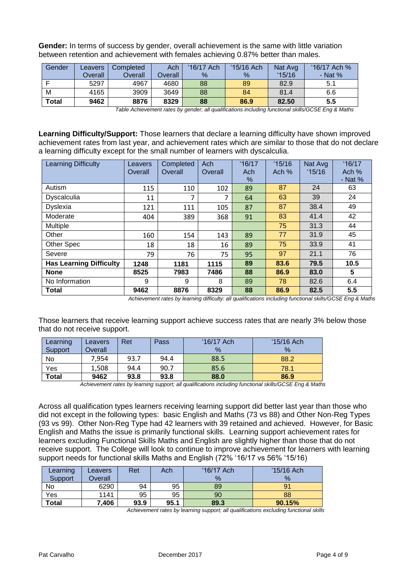**Gender:** In terms of success by gender, overall achievement is the same with little variation between retention and achievement with females achieving 0.87% better than males.

| Gender       | Leavers | Completed      | Ach     | '16/17 Ach | '15/16 Ach | Nat Avg | '16/17 Ach % |
|--------------|---------|----------------|---------|------------|------------|---------|--------------|
|              | Overall | <b>Overall</b> | Overall | %          | %          | 15/16   | - Nat $%$    |
|              | 5297    | 4967           | 4680    | 88         | 89         | 82.9    | 5.1          |
| M            | 4165    | 3909           | 3649    | 88         | 84         | 81.4    | 6.6          |
| <b>Total</b> | 9462    | 8876           | 8329    | 88         | 86.9       | 82.50   | 5.5          |

 *Table Achievement rates by gender; all qualifications including functional skills/GCSE Eng & Maths*

**Learning Difficulty/Support:** Those learners that declare a learning difficulty have shown improved achievement rates from last year, and achievement rates which are similar to those that do not declare a learning difficulty except for the small number of learners with dyscalculia.

| <b>Learning Difficulty</b>     | Leavers<br>Overall | Completed<br>Overall | Ach<br>Overall | 16/17<br>Ach<br>% | 15/16<br>Ach $%$ | Nat Avg<br>15/16 | 16/17<br>Ach %<br>- Nat $%$ |
|--------------------------------|--------------------|----------------------|----------------|-------------------|------------------|------------------|-----------------------------|
| Autism                         | 115                | 110                  | 102            | 89                | 87               | 24               | 63                          |
| <b>Dyscalculia</b>             | 11                 | 7                    |                | 64                | 63               | 39               | 24                          |
| Dyslexia                       | 121                | 111                  | 105            | 87                | 87               | 38.4             | 49                          |
| Moderate                       | 404                | 389                  | 368            | 91                | 83               | 41.4             | 42                          |
| <b>Multiple</b>                |                    |                      |                |                   | 75               | 31.3             | 44                          |
| Other                          | 160                | 154                  | 143            | 89                | 77               | 31.9             | 45                          |
| Other Spec                     | 18                 | 18                   | 16             | 89                | 75               | 33.9             | 41                          |
| Severe                         | 79                 | 76                   | 75             | 95                | 97               | 21.1             | 76                          |
| <b>Has Learning Difficulty</b> | 1248               | 1181                 | 1115           | 89                | 83.6             | 79.5             | 10.5                        |
| <b>None</b>                    | 8525               | 7983                 | 7486           | 88                | 86.9             | 83.0             | 5                           |
| No Information                 | 9                  | 9                    | 8              | 89                | 78               | 82.6             | 6.4                         |
| <b>Total</b>                   | 9462               | 8876                 | 8329           | 88                | 86.9             | 82.5             | 5.5                         |

 *Achievement rates by learning difficulty: all qualifications including functional skills/GCSE Eng & Maths*

Those learners that receive learning support achieve success rates that are nearly 3% below those that do not receive support.

| Learning<br>Support | Leavers<br>Overall | Ret  | Pass | '16/17 Ach<br>$\%$ | $15/16$ Ach<br>$\%$ |
|---------------------|--------------------|------|------|--------------------|---------------------|
| No                  | 7.954              | 93.7 | 94.4 | 88.5               | 88.2                |
| Yes                 | 1,508              | 94.4 | 90.7 | 85.6               | 78.1                |
| <b>Total</b>        | 9462               | 93.8 | 93.8 | 88.0               | 86.9                |

*Achievement rates by learning support; all qualifications including functional skills/GCSE Eng & Maths*

Across all qualification types learners receiving learning support did better last year than those who did not except in the following types: basic English and Maths (73 vs 88) and Other Non-Reg Types (93 vs 99). Other Non-Reg Type had 42 learners with 39 retained and achieved. However, for Basic English and Maths the issue is primarily functional skills. Learning support achievement rates for learners excluding Functional Skills Maths and English are slightly higher than those that do not receive support. The College will look to continue to improve achievement for learners with learning support needs for functional skills Maths and English (72% '16/17 vs 56% '15/16)

| Learning<br>Support | Leavers<br>Overall | Ret  | Ach  | '16/17 Ach<br>$\%$ | $15/16$ Ach<br>$\%$ |
|---------------------|--------------------|------|------|--------------------|---------------------|
| No                  | 6290               | 94   | 95   | 89                 |                     |
| Yes                 | 1141               | 95   | 95   | 90                 | 88                  |
| <b>Total</b>        | 7,406              | 93.9 | 95.1 | 89.3               | 90.15%              |

 *Achievement rates by learning support; all qualifications excluding functional skills*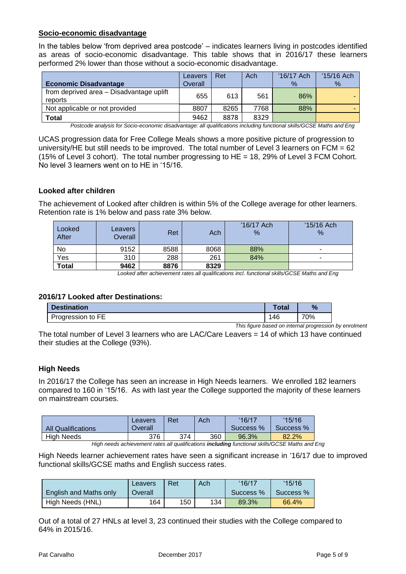### **Socio-economic disadvantage**

In the tables below 'from deprived area postcode' – indicates learners living in postcodes identified as areas of socio-economic disadvantage. This table shows that in 2016/17 these learners performed 2% lower than those without a socio-economic disadvantage.

| <b>Economic Disadvantage</b>                        | Leavers<br>Overall | Ret  | Ach  | '16/17 Ach<br>$\%$ | $15/16$ Ach<br>% |
|-----------------------------------------------------|--------------------|------|------|--------------------|------------------|
| from deprived area - Disadvantage uplift<br>reports | 655                | 613  | 561  | 86%                |                  |
| Not applicable or not provided                      | 8807               | 8265 | 7768 | 88%                |                  |
| <b>Total</b>                                        | 9462               | 8878 | 8329 |                    |                  |

 *Postcode analysis for Socio-economic disadvantage: all qualifications including functional skills/GCSE Maths and Eng*

UCAS progression data for Free College Meals shows a more positive picture of progression to university/HE but still needs to be improved. The total number of Level 3 learners on FCM = 62 (15% of Level 3 cohort). The total number progressing to HE = 18, 29% of Level 3 FCM Cohort. No level 3 learners went on to HE in '15/16.

#### **Looked after children**

The achievement of Looked after children is within 5% of the College average for other learners. Retention rate is 1% below and pass rate 3% below.

| Looked<br>After | Leavers<br>Overall | Ret       | Ach         | '16/17 Ach<br>% | $15/16$ Ach<br>$\%$                  |
|-----------------|--------------------|-----------|-------------|-----------------|--------------------------------------|
| No              | 9152               | 8588      | 8068        | 88%             |                                      |
| Yes             | 310                | 288       | 261         | 84%             | -                                    |
| <b>Total</b>    | 9462<br>.          | 8876<br>. | 8329<br>. . | .               | <b>.</b><br>$\overline{\phantom{a}}$ |

 *Looked after achievement rates all qualifications incl. functional skills/GCSE Maths and Eng*

#### **2016/17 Looked after Destinations:**

| <b>Destination</b> | Total | $\%$ |
|--------------------|-------|------|
| Progression to FE  | 146   | 70%  |

*This figure based on internal progression by enrolment* 

The total number of Level 3 learners who are LAC/Care Leavers = 14 of which 13 have continued their studies at the College (93%).

#### **High Needs**

In 2016/17 the College has seen an increase in High Needs learners. We enrolled 182 learners compared to 160 in '15/16. As with last year the College supported the majority of these learners on mainstream courses.

| <b>All Qualifications</b> | Leavers<br>Overall | Ret | Ach | '16/17<br>Success % | 15/16<br>Success % |
|---------------------------|--------------------|-----|-----|---------------------|--------------------|
| High Needs                | 376                | 374 | 360 | 96.3%               | 82.2%              |

 *High needs achievement rates all qualifications including functional skills/GCSE Maths and Eng*

High Needs learner achievement rates have seen a significant increase in '16/17 due to improved functional skills/GCSE maths and English success rates.

|                        | Leavers | Ret | Ach | 16/17     | 15/16     |
|------------------------|---------|-----|-----|-----------|-----------|
| English and Maths only | Overall |     |     | Success % | Success % |
| High Needs (HNL)       | 164     | 150 | 134 | 89.3%     | 66.4%     |

Out of a total of 27 HNLs at level 3, 23 continued their studies with the College compared to 64% in 2015/16.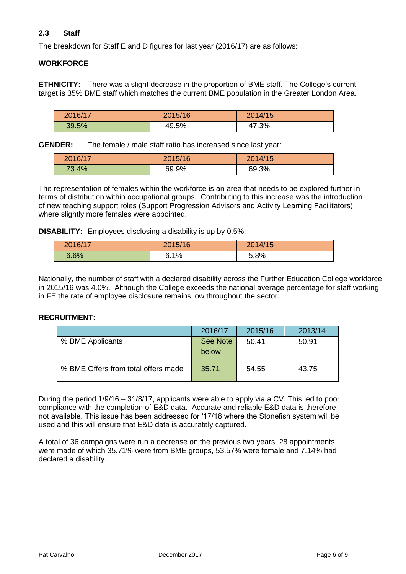# **2.3 Staff**

The breakdown for Staff E and D figures for last year (2016/17) are as follows:

### **WORKFORCE**

**ETHNICITY:** There was a slight decrease in the proportion of BME staff. The College's current target is 35% BME staff which matches the current BME population in the Greater London Area.

| 2016/17 | 2015/16 | 2014/15 |
|---------|---------|---------|
| 39.5%   | 49.5%   | 47.3%   |

**GENDER:** The female / male staff ratio has increased since last year:

| 2016/17 | 2015/16 | 2014/15 |
|---------|---------|---------|
| 73.4%   | 69.9%   | 69.3%   |

The representation of females within the workforce is an area that needs to be explored further in terms of distribution within occupational groups. Contributing to this increase was the introduction of new teaching support roles (Support Progression Advisors and Activity Learning Facilitators) where slightly more females were appointed.

**DISABILITY:** Employees disclosing a disability is up by 0.5%:

| 2016/17 | 2015/16 | 2014/15 |
|---------|---------|---------|
| 6.6%    | 6.1%    | 5.8%    |

Nationally, the number of staff with a declared disability across the Further Education College workforce in 2015/16 was 4.0%. Although the College exceeds the national average percentage for staff working in FE the rate of employee disclosure remains low throughout the sector.

### **RECRUITMENT:**

|                                     | 2016/17  | 2015/16 | 2013/14 |
|-------------------------------------|----------|---------|---------|
| % BME Applicants                    | See Note | 50.41   | 50.91   |
|                                     | below    |         |         |
| % BME Offers from total offers made | 35.71    | 54.55   | 43.75   |

During the period 1/9/16 – 31/8/17, applicants were able to apply via a CV. This led to poor compliance with the completion of E&D data. Accurate and reliable E&D data is therefore not available. This issue has been addressed for '17/18 where the Stonefish system will be used and this will ensure that E&D data is accurately captured.

A total of 36 campaigns were run a decrease on the previous two years. 28 appointments were made of which 35.71% were from BME groups, 53.57% were female and 7.14% had declared a disability.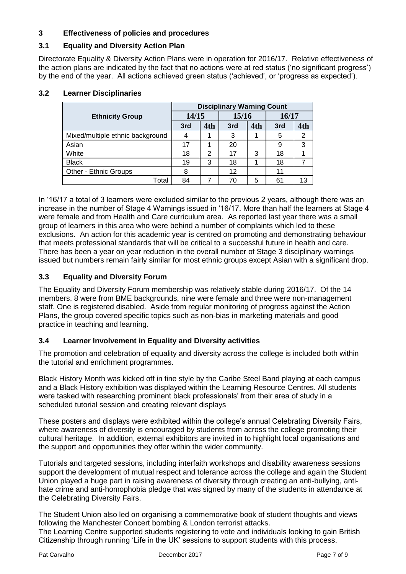# **3 Effectiveness of policies and procedures**

# **3.1 Equality and Diversity Action Plan**

Directorate Equality & Diversity Action Plans were in operation for 2016/17. Relative effectiveness of the action plans are indicated by the fact that no actions were at red status ('no significant progress') by the end of the year. All actions achieved green status ('achieved', or 'progress as expected').

|                                  |       |                |       |     | <b>Disciplinary Warning Count</b> |     |  |  |  |
|----------------------------------|-------|----------------|-------|-----|-----------------------------------|-----|--|--|--|
| <b>Ethnicity Group</b>           | 14/15 |                | 15/16 |     | 16/17                             |     |  |  |  |
|                                  | 3rd   | 4th            | 3rd   | 4th | 3rd                               | 4th |  |  |  |
| Mixed/multiple ethnic background | 4     |                | 3     |     | 5                                 | 2   |  |  |  |
| Asian                            | 17    |                | 20    |     | 9                                 | 3   |  |  |  |
| White                            | 18    | $\overline{2}$ | 17    | 3   | 18                                |     |  |  |  |
| <b>Black</b>                     | 19    | 3              | 18    |     | 18                                |     |  |  |  |
| Other - Ethnic Groups            | 8     |                | 12    |     | 11                                |     |  |  |  |
| Total                            | 84    |                | 70    | 5   | 61                                | 13  |  |  |  |

### **3.2 Learner Disciplinaries**

In '16/17 a total of 3 learners were excluded similar to the previous 2 years, although there was an increase in the number of Stage 4 Warnings issued in '16/17. More than half the learners at Stage 4 were female and from Health and Care curriculum area. As reported last year there was a small group of learners in this area who were behind a number of complaints which led to these exclusions. An action for this academic year is centred on promoting and demonstrating behaviour that meets professional standards that will be critical to a successful future in health and care. There has been a year on year reduction in the overall number of Stage 3 disciplinary warnings issued but numbers remain fairly similar for most ethnic groups except Asian with a significant drop.

# **3.3 Equality and Diversity Forum**

The Equality and Diversity Forum membership was relatively stable during 2016/17. Of the 14 members, 8 were from BME backgrounds, nine were female and three were non-management staff. One is registered disabled. Aside from regular monitoring of progress against the Action Plans, the group covered specific topics such as non-bias in marketing materials and good practice in teaching and learning.

# **3.4 Learner Involvement in Equality and Diversity activities**

The promotion and celebration of equality and diversity across the college is included both within the tutorial and enrichment programmes.

Black History Month was kicked off in fine style by the Caribe Steel Band playing at each campus and a Black History exhibition was displayed within the Learning Resource Centres. All students were tasked with researching prominent black professionals' from their area of study in a scheduled tutorial session and creating relevant displays

These posters and displays were exhibited within the college's annual Celebrating Diversity Fairs, where awareness of diversity is encouraged by students from across the college promoting their cultural heritage. In addition, external exhibitors are invited in to highlight local organisations and the support and opportunities they offer within the wider community.

Tutorials and targeted sessions, including interfaith workshops and disability awareness sessions support the development of mutual respect and tolerance across the college and again the Student Union played a huge part in raising awareness of diversity through creating an anti-bullying, antihate crime and anti-homophobia pledge that was signed by many of the students in attendance at the Celebrating Diversity Fairs.

The Student Union also led on organising a commemorative book of student thoughts and views following the Manchester Concert bombing & London terrorist attacks.

The Learning Centre supported students registering to vote and individuals looking to gain British Citizenship through running 'Life in the UK' sessions to support students with this process.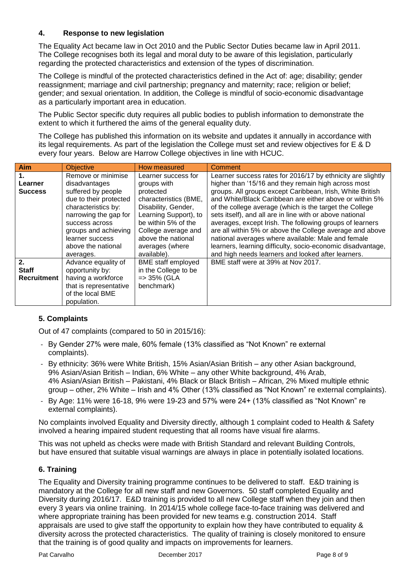### **4. Response to new legislation**

The Equality Act became law in Oct 2010 and the Public Sector Duties became law in April 2011. The College recognises both its legal and moral duty to be aware of this legislation, particularly regarding the protected characteristics and extension of the types of discrimination.

The College is mindful of the protected characteristics defined in the Act of: age; disability; gender reassignment; marriage and civil partnership; pregnancy and maternity; race; religion or belief; gender; and sexual orientation. In addition, the College is mindful of socio-economic disadvantage as a particularly important area in education.

The Public Sector specific duty requires all public bodies to publish information to demonstrate the extent to which it furthered the aims of the general equality duty.

The College has published this information on its website and updates it annually in accordance with its legal requirements. As part of the legislation the College must set and review objectives for E & D every four years. Below are Harrow College objectives in line with HCUC.

| Aim                                        | <b>Objective</b>                                                                                                                                                                | How measured                                                                                                                                                           | Comment                                                                                                                                                                                                                                                                                                                                                                                                                                                                                   |
|--------------------------------------------|---------------------------------------------------------------------------------------------------------------------------------------------------------------------------------|------------------------------------------------------------------------------------------------------------------------------------------------------------------------|-------------------------------------------------------------------------------------------------------------------------------------------------------------------------------------------------------------------------------------------------------------------------------------------------------------------------------------------------------------------------------------------------------------------------------------------------------------------------------------------|
| $\mathbf 1$ .<br>Learner<br><b>Success</b> | Remove or minimise<br>disadvantages<br>suffered by people<br>due to their protected<br>characteristics by:<br>narrowing the gap for<br>success across<br>groups and achieving   | Learner success for<br>groups with<br>protected<br>characteristics (BME,<br>Disability, Gender,<br>Learning Support), to<br>be within 5% of the<br>College average and | Learner success rates for 2016/17 by ethnicity are slightly<br>higher than '15/16 and they remain high across most<br>groups. All groups except Caribbean, Irish, White British<br>and White/Black Caribbean are either above or within 5%<br>of the college average (which is the target the College<br>sets itself), and all are in line with or above national<br>averages, except Irish. The following groups of learners<br>are all within 5% or above the College average and above |
| 2.<br><b>Staff</b><br><b>Recruitment</b>   | learner success<br>above the national<br>averages.<br>Advance equality of<br>opportunity by:<br>having a workforce<br>that is representative<br>of the local BME<br>population. | above the national<br>averages (where<br>available).<br><b>BME</b> staff employed<br>in the College to be<br>$=$ 35% (GLA<br>benchmark)                                | national averages where available: Male and female<br>learners, learning difficulty, socio-economic disadvantage,<br>and high needs learners and looked after learners.<br>BME staff were at 39% at Nov 2017.                                                                                                                                                                                                                                                                             |

# **5. Complaints**

Out of 47 complaints (compared to 50 in 2015/16):

- By Gender 27% were male, 60% female (13% classified as "Not Known" re external complaints).
- By ethnicity: 36% were White British, 15% Asian/Asian British any other Asian background, 9% Asian/Asian British – Indian, 6% White – any other White background, 4% Arab, 4% Asian/Asian British – Pakistani, 4% Black or Black British – African, 2% Mixed multiple ethnic group – other, 2% White – Irish and 4% Other (13% classified as "Not Known" re external complaints).
- By Age: 11% were 16-18, 9% were 19-23 and 57% were 24+ (13% classified as "Not Known" re external complaints).

No complaints involved Equality and Diversity directly, although 1 complaint coded to Health & Safety involved a hearing impaired student requesting that all rooms have visual fire alarms.

This was not upheld as checks were made with British Standard and relevant Building Controls, but have ensured that suitable visual warnings are always in place in potentially isolated locations.

# **6. Training**

The Equality and Diversity training programme continues to be delivered to staff. E&D training is mandatory at the College for all new staff and new Governors. 50 staff completed Equality and Diversity during 2016/17. E&D training is provided to all new College staff when they join and then every 3 years via online training. In 2014/15 whole college face-to-face training was delivered and where appropriate training has been provided for new teams e.g. construction 2014. Staff appraisals are used to give staff the opportunity to explain how they have contributed to equality & diversity across the protected characteristics. The quality of training is closely monitored to ensure that the training is of good quality and impacts on improvements for learners.